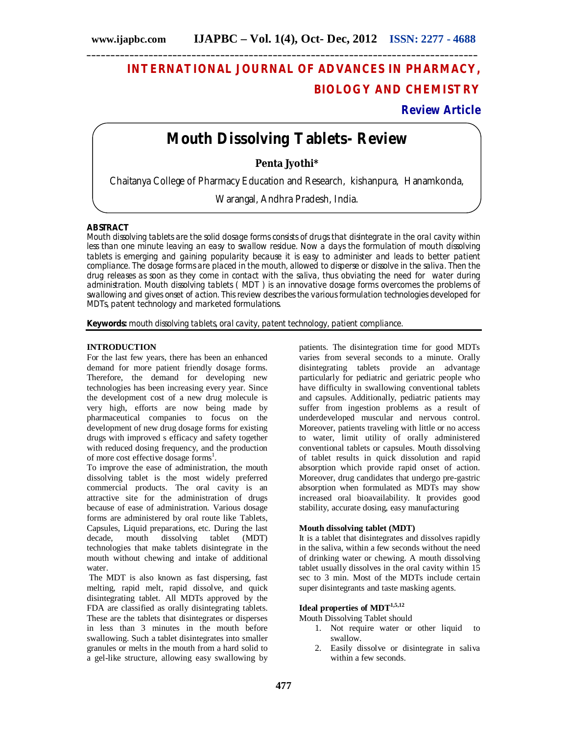# **INTERNATIONAL JOURNAL OF ADVANCES IN PHARMACY, BIOLOGY AND CHEMISTRY**

# **Review Article**

# **Mouth Dissolving Tablets- Review**

**\_\_\_\_\_\_\_\_\_\_\_\_\_\_\_\_\_\_\_\_\_\_\_\_\_\_\_\_\_\_\_\_\_\_\_\_\_\_\_\_\_\_\_\_\_\_\_\_\_\_\_\_\_\_\_\_\_\_\_\_\_\_\_\_\_\_\_\_\_\_\_\_\_\_\_\_\_\_\_\_\_\_**

**Penta Jyothi\***

Chaitanya College of Pharmacy Education and Research, kishanpura, Hanamkonda,

Warangal, Andhra Pradesh, India.

# **ABSTRACT**

Mouth dissolving tablets are the solid dosage forms consists of drugs that disintegrate in the oral cavity within less than one minute leaving an easy to swallow residue. Now a days the formulation of mouth dissolving tablets is emerging and gaining popularity because it is easy to administer and leads to better patient compliance. The dosage forms are placed in the mouth, allowed to disperse or dissolve in the saliva. Then the drug releases as soon as they come in contact with the saliva, thus obviating the need for water during administration. Mouth dissolving tablets (MDT) is an innovative dosage forms overcomes the problems of swallowing and gives onset of action. This review describes the various formulation technologies developed for MDTs, patent technology and marketed formulations.

**Keywords:** mouth dissolving tablets, oral cavity, patent technology, patient compliance.

# **INTRODUCTION**

For the last few years, there has been an enhanced demand for more patient friendly dosage forms. Therefore, the demand for developing new technologies has been increasing every year. Since the development cost of a new drug molecule is very high, efforts are now being made by pharmaceutical companies to focus on the development of new drug dosage forms for existing drugs with improved s efficacy and safety together with reduced dosing frequency, and the production of more cost effective dosage forms<sup>1</sup>.

To improve the ease of administration, the mouth dissolving tablet is the most widely preferred commercial products. The oral cavity is an attractive site for the administration of drugs because of ease of administration. Various dosage forms are administered by oral route like Tablets, Capsules, Liquid preparations, etc. During the last decade, mouth dissolving tablet (MDT) technologies that make tablets disintegrate in the mouth without chewing and intake of additional water.

The MDT is also known as fast dispersing, fast melting, rapid melt, rapid dissolve, and quick disintegrating tablet*.* All MDTs approved by the FDA are classified as orally disintegrating tablets. These are the tablets that disintegrates or disperses in less than 3 minutes in the mouth before swallowing. Such a tablet disintegrates into smaller granules or melts in the mouth from a hard solid to a gel-like structure, allowing easy swallowing by

patients. The disintegration time for good MDTs varies from several seconds to a minute. Orally disintegrating tablets provide an advantage particularly for pediatric and geriatric people who have difficulty in swallowing conventional tablets and capsules. Additionally, pediatric patients may suffer from ingestion problems as a result of underdeveloped muscular and nervous control. Moreover, patients traveling with little or no access to water, limit utility of orally administered conventional tablets or capsules. Mouth dissolving of tablet results in quick dissolution and rapid absorption which provide rapid onset of action. Moreover, drug candidates that undergo pre-gastric absorption when formulated as MDTs may show increased oral bioavailability. It provides good stability, accurate dosing, easy manufacturing

#### **Mouth dissolving tablet (MDT)**

It is a tablet that disintegrates and dissolves rapidly in the saliva, within a few seconds without the need of drinking water or chewing. A mouth dissolving tablet usually dissolves in the oral cavity within 15 sec to 3 min. Most of the MDTs include certain super disintegrants and taste masking agents.

# **Ideal properties of MDT1,5,12**

Mouth Dissolving Tablet should

- 1. Not require water or other liquid to swallow.
- 2. Easily dissolve or disintegrate in saliva within a few seconds.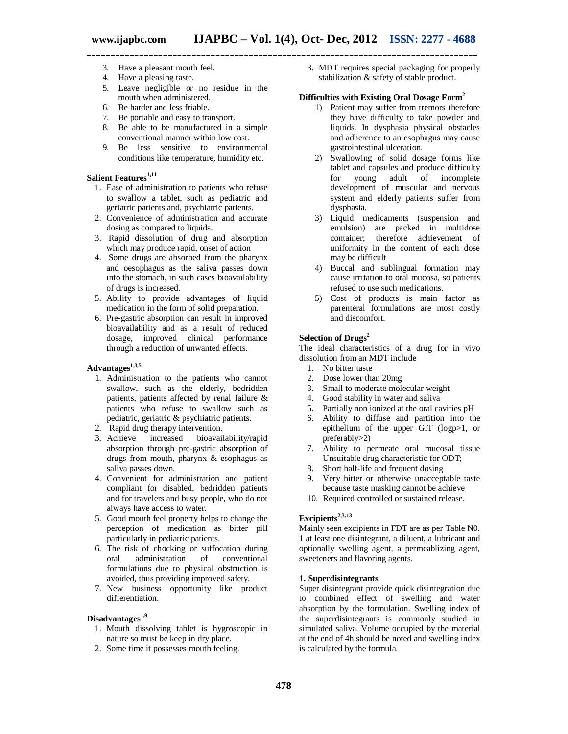- 3. Have a pleasant mouth feel.
- 4. Have a pleasing taste.
- 5. Leave negligible or no residue in the mouth when administered.
- 6. Be harder and less friable.
- 7. Be portable and easy to transport.
- 8. Be able to be manufactured in a simple conventional manner within low cost.
- 9. Be less sensitive to environmental conditions like temperature, humidity etc.

# **Salient Features1,11**

- 1. Ease of administration to patients who refuse to swallow a tablet, such as pediatric and geriatric patients and, psychiatric patients.
- 2. Convenience of administration and accurate dosing as compared to liquids.
- 3. Rapid dissolution of drug and absorption which may produce rapid, onset of action
- 4. Some drugs are absorbed from the pharynx and oesophagus as the saliva passes down into the stomach, in such cases bioavailability of drugs is increased.
- 5. Ability to provide advantages of liquid medication in the form of solid preparation.
- 6. Pre-gastric absorption can result in improved bioavailability and as a result of reduced dosage, improved clinical performance through a reduction of unwanted effects.

# **Advantages1,3,5**

- 1. Administration to the patients who cannot swallow, such as the elderly, bedridden patients, patients affected by renal failure & patients who refuse to swallow such as pediatric, geriatric & psychiatric patients.
- 2. Rapid drug therapy intervention.<br>3. Achieve increased bioavail
- bioavailability/rapid absorption through pre-gastric absorption of drugs from mouth, pharynx & esophagus as saliva passes down.
- 4. Convenient for administration and patient compliant for disabled, bedridden patients and for travelers and busy people, who do not always have access to water.
- 5. Good mouth feel property helps to change the perception of medication as bitter pill particularly in pediatric patients.
- 6. The risk of chocking or suffocation during of conventional formulations due to physical obstruction is avoided, thus providing improved safety.
- 7. New business opportunity like product differentiation.

# **Disadvantages 1,9**

- 1. Mouth dissolving tablet is hygroscopic in nature so must be keep in dry place.
- 2. Some time it possesses mouth feeling.

3. MDT requires special packaging for properly stabilization & safety of stable product.

## **Difficulties with Existing Oral Dosage Form<sup>2</sup>**

- 1) Patient may suffer from tremors therefore they have difficulty to take powder and liquids. In dysphasia physical obstacles and adherence to an esophagus may cause gastrointestinal ulceration.
- 2) Swallowing of solid dosage forms like tablet and capsules and produce difficulty<br>for young adult of incomplete for young adult of development of muscular and nervous system and elderly patients suffer from dysphasia.
- 3) Liquid medicaments (suspension and emulsion) are packed in multidose container; therefore achievement of uniformity in the content of each dose may be difficult
- 4) Buccal and sublingual formation may cause irritation to oral mucosa, so patients refused to use such medications.
- 5) Cost of products is main factor as parenteral formulations are most costly and discomfort.

### **Selection of Drugs<sup>2</sup>**

The ideal characteristics of a drug for in vivo dissolution from an MDT include

- 1. No bitter taste
- 2. Dose lower than 20mg
- 3. Small to moderate molecular weight
- 4. Good stability in water and saliva
- 5. Partially non ionized at the oral cavities pH
- 6. Ability to diffuse and partition into the epithelium of the upper GIT (logp>1, or preferably>2)
- 7. Ability to permeate oral mucosal tissue Unsuitable drug characteristic for ODT;
- 8. Short half-life and frequent dosing
- 9. Very bitter or otherwise unacceptable taste because taste masking cannot be achieve
- 10. Required controlled or sustained release.

# **Excipients2,3,13**

Mainly seen excipients in FDT are as per Table N0. 1 at least one disintegrant, a diluent, a lubricant and optionally swelling agent, a permeablizing agent, sweeteners and flavoring agents.

#### **1. Superdisintegrants**

Super disintegrant provide quick disintegration due to combined effect of swelling and water absorption by the formulation. Swelling index of the superdisintegrants is commonly studied in simulated saliva. Volume occupied by the material at the end of 4h should be noted and swelling index is calculated by the formula.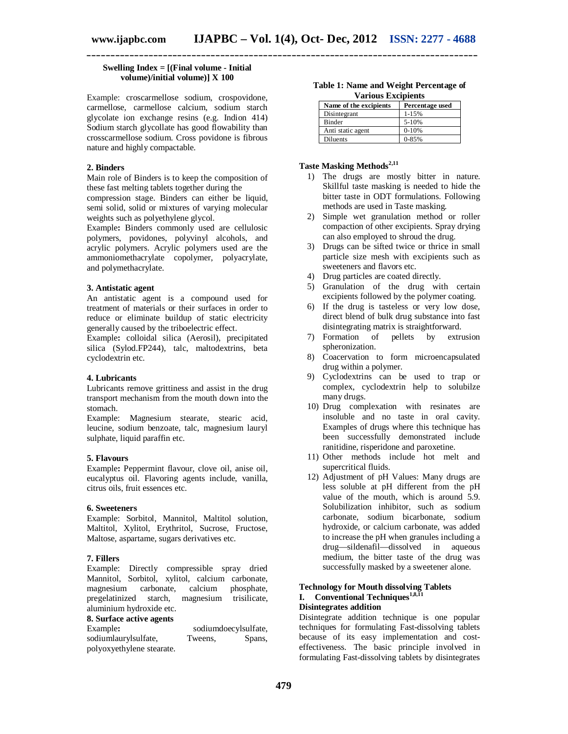# **Swelling Index = [(Final volume - Initial volume)/initial volume)] X 100**

Example: croscarmellose sodium, crospovidone, carmellose, carmellose calcium, sodium starch glycolate ion exchange resins (e.g. Indion 414) Sodium starch glycollate has good flowability than crosscarmellose sodium. Cross povidone is fibrous nature and highly compactable.

# **2. Binders**

Main role of Binders is to keep the composition of these fast melting tablets together during the

compression stage. Binders can either be liquid, semi solid, solid or mixtures of varying molecular weights such as polyethylene glycol.

Example**:** Binders commonly used are cellulosic polymers, povidones, polyvinyl alcohols, and acrylic polymers. Acrylic polymers used are the ammoniomethacrylate copolymer, polyacrylate, and polymethacrylate.

#### **3. Antistatic agent**

An antistatic agent is a compound used for treatment of materials or their surfaces in order to reduce or eliminate buildup of static electricity generally caused by the triboelectric effect.

Example**:** colloidal silica (Aerosil), precipitated silica (Sylod.FP244), talc, maltodextrins, beta cyclodextrin etc.

# **4. Lubricants**

Lubricants remove grittiness and assist in the drug transport mechanism from the mouth down into the stomach.

Example: Magnesium stearate, stearic acid, leucine, sodium benzoate, talc, magnesium lauryl sulphate, liquid paraffin etc.

### **5. Flavours**

Example**:** Peppermint flavour, clove oil, anise oil, eucalyptus oil. Flavoring agents include, vanilla, citrus oils, fruit essences etc.

#### **6. Sweeteners**

Example: Sorbitol, Mannitol, Maltitol solution, Maltitol, Xylitol, Erythritol, Sucrose, Fructose, Maltose, aspartame, sugars derivatives etc.

#### **7. Fillers**

Example: Directly compressible spray dried Mannitol, Sorbitol, xylitol, calcium carbonate, magnesium carbonate, calcium phosphate, pregelatinized starch, magnesium trisilicate, aluminium hydroxide etc.

#### **8. Surface active agents**

| Example:                  |         | sodiumdoecylsulfate, |
|---------------------------|---------|----------------------|
| sodiumlaurylsulfate,      | Tweens, | Spans,               |
| polyoxyethylene stearate. |         |                      |

|                           | Table 1: Name and Weight Percentage of |
|---------------------------|----------------------------------------|
| <b>Various Excipients</b> |                                        |

| , al loub Excipicno    |                 |  |
|------------------------|-----------------|--|
| Name of the excipients | Percentage used |  |
| Disintegrant           | $1 - 15%$       |  |
| Binder                 | 5-10%           |  |
| Anti static agent      | $0-10%$         |  |
| Diluents               | $0 - 85%$       |  |

# **Taste Masking Methods2,11**

- 1) The drugs are mostly bitter in nature. Skillful taste masking is needed to hide the bitter taste in ODT formulations. Following methods are used in Taste masking.
- 2) Simple wet granulation method or roller compaction of other excipients. Spray drying can also employed to shroud the drug.
- 3) Drugs can be sifted twice or thrice in small particle size mesh with excipients such as sweeteners and flavors etc.
- 4) Drug particles are coated directly.
- 5) Granulation of the drug with certain excipients followed by the polymer coating.
- 6) If the drug is tasteless or very low dose, direct blend of bulk drug substance into fast disintegrating matrix is straightforward.
- 7) Formation of pellets by extrusion spheronization.
- 8) Coacervation to form microencapsulated drug within a polymer.
- 9) Cyclodextrins can be used to trap or complex, cyclodextrin help to solubilze many drugs.
- 10) Drug complexation with resinates are insoluble and no taste in oral cavity. Examples of drugs where this technique has been successfully demonstrated include ranitidine, risperidone and paroxetine.
- 11) Other methods include hot melt and supercritical fluids.
- 12) Adjustment of pH Values: Many drugs are less soluble at pH different from the pH value of the mouth, which is around 5.9. Solubilization inhibitor, such as sodium carbonate, sodium bicarbonate, sodium hydroxide, or calcium carbonate, was added to increase the pH when granules including a drug—sildenafil—dissolved in aqueous medium, the bitter taste of the drug was successfully masked by a sweetener alone.

#### **Technology for Mouth dissolving Tablets I.** Conventional Techniques<sup>1,8,11</sup> **Disintegrates addition**

Disintegrate addition technique is one popular techniques for formulating Fast-dissolving tablets because of its easy implementation and costeffectiveness. The basic principle involved in formulating Fast-dissolving tablets by disintegrates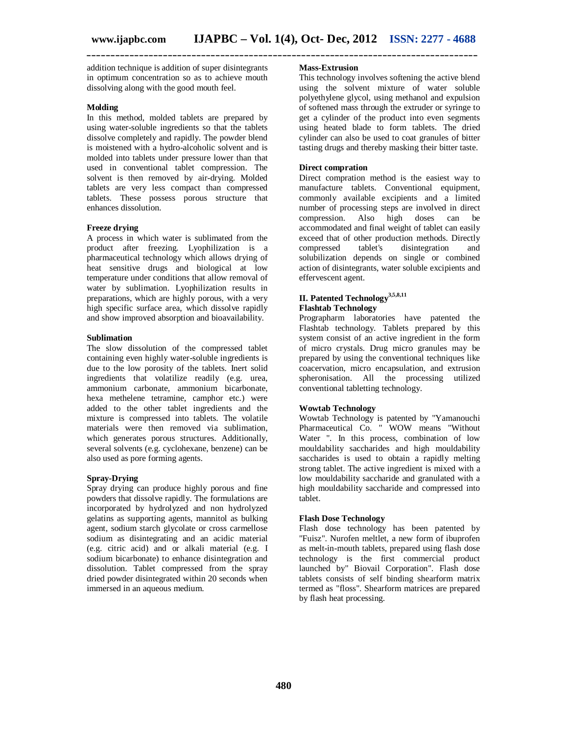addition technique is addition of super disintegrants in optimum concentration so as to achieve mouth dissolving along with the good mouth feel.

#### **Molding**

In this method, molded tablets are prepared by using water-soluble ingredients so that the tablets dissolve completely and rapidly. The powder blend is moistened with a hydro-alcoholic solvent and is molded into tablets under pressure lower than that used in conventional tablet compression. The solvent is then removed by air-drying. Molded tablets are very less compact than compressed tablets. These possess porous structure that enhances dissolution.

#### **Freeze drying**

A process in which water is sublimated from the product after freezing. Lyophilization is a pharmaceutical technology which allows drying of heat sensitive drugs and biological at low temperature under conditions that allow removal of water by sublimation. Lyophilization results in preparations, which are highly porous, with a very high specific surface area, which dissolve rapidly and show improved absorption and bioavailability.

#### **Sublimation**

The slow dissolution of the compressed tablet containing even highly water-soluble ingredients is due to the low porosity of the tablets. Inert solid ingredients that volatilize readily (e.g. urea, ammonium carbonate, ammonium bicarbonate, hexa methelene tetramine, camphor etc.) were added to the other tablet ingredients and the mixture is compressed into tablets. The volatile materials were then removed via sublimation, which generates porous structures. Additionally, several solvents (e.g. cyclohexane, benzene) can be also used as pore forming agents.

#### **Spray-Drying**

Spray drying can produce highly porous and fine powders that dissolve rapidly. The formulations are incorporated by hydrolyzed and non hydrolyzed gelatins as supporting agents, mannitol as bulking agent, sodium starch glycolate or cross carmellose sodium as disintegrating and an acidic material (e.g. citric acid) and or alkali material (e.g. I sodium bicarbonate) to enhance disintegration and dissolution. Tablet compressed from the spray dried powder disintegrated within 20 seconds when immersed in an aqueous medium.

# **Mass-Extrusion**

**\_\_\_\_\_\_\_\_\_\_\_\_\_\_\_\_\_\_\_\_\_\_\_\_\_\_\_\_\_\_\_\_\_\_\_\_\_\_\_\_\_\_\_\_\_\_\_\_\_\_\_\_\_\_\_\_\_\_\_\_\_\_\_\_\_\_\_\_\_\_\_\_\_\_\_\_\_\_\_\_\_\_**

This technology involves softening the active blend using the solvent mixture of water soluble polyethylene glycol, using methanol and expulsion of softened mass through the extruder or syringe to get a cylinder of the product into even segments using heated blade to form tablets. The dried cylinder can also be used to coat granules of bitter tasting drugs and thereby masking their bitter taste.

# **Direct compration**

Direct compration method is the easiest way to manufacture tablets. Conventional equipment, commonly available excipients and a limited number of processing steps are involved in direct compression. Also high doses can be accommodated and final weight of tablet can easily exceed that of other production methods. Directly compressed tablet's disintegration and solubilization depends on single or combined action of disintegrants, water soluble excipients and effervescent agent.

# **II. Patented Technology3,5,8,11 Flashtab Technology**

Prographarm laboratories have patented the Flashtab technology. Tablets prepared by this system consist of an active ingredient in the form of micro crystals. Drug micro granules may be prepared by using the conventional techniques like coacervation, micro encapsulation, and extrusion spheronisation. All the processing utilized conventional tabletting technology.

#### **Wowtab Technology**

Wowtab Technology is patented by "Yamanouchi Pharmaceutical Co. " WOW means "Without Water ". In this process, combination of low mouldability saccharides and high mouldability saccharides is used to obtain a rapidly melting strong tablet. The active ingredient is mixed with a low mouldability saccharide and granulated with a high mouldability saccharide and compressed into tablet.

#### **Flash Dose Technology**

Flash dose technology has been patented by "Fuisz". Nurofen meltlet, a new form of ibuprofen as melt-in-mouth tablets, prepared using flash dose technology is the first commercial product launched by" Biovail Corporation". Flash dose tablets consists of self binding shearform matrix termed as "floss". Shearform matrices are prepared by flash heat processing.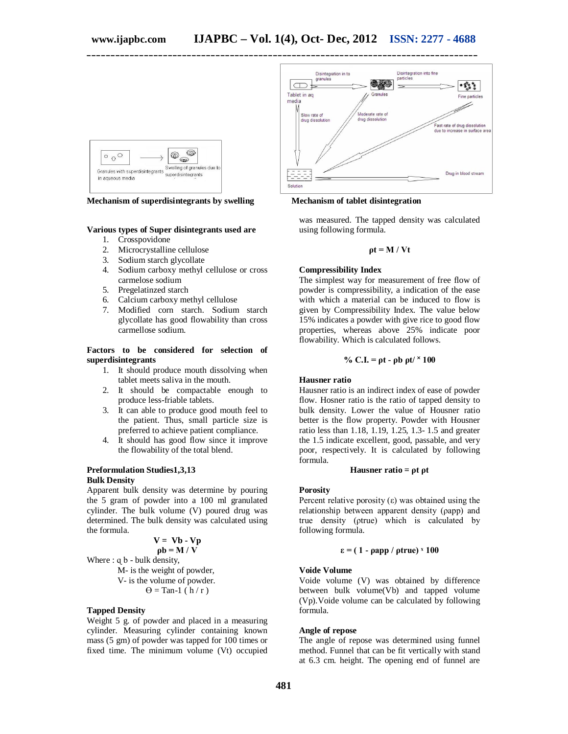

**Mechanism of superdisintegrants by swelling Mechanism of tablet disintegration**

#### **Various types of Super disintegrants used are**

- 1. Crosspovidone<br>2. Microcrystallin
- Microcrystalline cellulose
- 3. Sodium starch glycollate
- 4. Sodium carboxy methyl cellulose or cross carmelose sodium
- 5. Pregelatinzed starch
- 6. Calcium carboxy methyl cellulose
- 7. Modified corn starch. Sodium starch glycollate has good flowability than cross carmellose sodium.

#### **Factors to be considered for selection of superdisintegrants**

- 1. It should produce mouth dissolving when tablet meets saliva in the mouth.
- 2. It should be compactable enough to produce less-friable tablets.
- 3. It can able to produce good mouth feel to the patient. Thus, small particle size is preferred to achieve patient compliance.
- 4. It should has good flow since it improve the flowability of the total blend.

#### **Preformulation Studies1,3,13 Bulk Density**

Apparent bulk density was determine by pouring the 5 gram of powder into a 100 ml granulated cylinder. The bulk volume (V) poured drug was determined. The bulk density was calculated using the formula.

# $V = Vb - Vp$

**ρb = M / V** Where  $: q b - bulk density$ , M- is the weight of powder, V- is the volume of powder.  $\Theta =$ Tan-1 ( $\overline{h}/r$ )

#### **Tapped Density**

Weight 5 g. of powder and placed in a measuring cylinder. Measuring cylinder containing known mass (5 gm) of powder was tapped for 100 times or fixed time. The minimum volume (Vt) occupied



was measured. The tapped density was calculated using following formula.

$$
\rho t = M / Vt
$$

# **Compressibility Index**

The simplest way for measurement of free flow of powder is compressibility, a indication of the ease with which a material can be induced to flow is given by Compressibility Index. The value below 15% indicates a powder with give rice to good flow properties, whereas above 25% indicate poor flowability. Which is calculated follows.

% C.I. = 
$$
\rho t - \rho b \rho t / \times 100
$$

#### **Hausner ratio**

Hausner ratio is an indirect index of ease of powder flow. Hosner ratio is the ratio of tapped density to bulk density. Lower the value of Housner ratio better is the flow property. Powder with Housner ratio less than 1.18, 1.19, 1.25, 1.3- 1.5 and greater the 1.5 indicate excellent, good, passable, and very poor, respectively. It is calculated by following formula.

#### **Hausner ratio = ρt ρt**

#### **Porosity**

Percent relative porosity  $(\varepsilon)$  was obtained using the relationship between apparent density (ρapp) and true density (ρtrue) which is calculated by following formula.

#### **ε = ( 1 - ρapp / ρtrue) ˣ 100**

#### **Voide Volume**

Voide volume (V) was obtained by difference between bulk volume(Vb) and tapped volume (Vp).Voide volume can be calculated by following formula.

#### **Angle of repose**

The angle of repose was determined using funnel method. Funnel that can be fit vertically with stand at 6.3 cm. height. The opening end of funnel are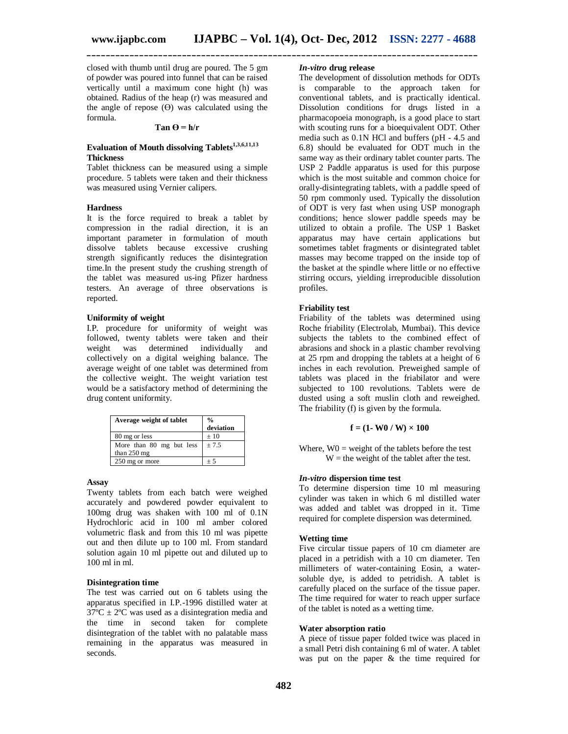closed with thumb until drug are poured. The 5 gm of powder was poured into funnel that can be raised vertically until a maximum cone hight (h) was obtained. Radius of the heap (r) was measured and the angle of repose  $(\Theta)$  was calculated using the formula.

#### $Tan \Theta = h/r$

# **Evaluation of Mouth dissolving Tablets1,3,6,11,13 Thickness**

Tablet thickness can be measured using a simple procedure. 5 tablets were taken and their thickness was measured using Vernier calipers.

#### **Hardness**

It is the force required to break a tablet by compression in the radial direction, it is an important parameter in formulation of mouth dissolve tablets because excessive crushing strength significantly reduces the disintegration time.In the present study the crushing strength of the tablet was measured us-ing Pfizer hardness testers. An average of three observations is reported.

# **Uniformity of weight**

I.P. procedure for uniformity of weight was followed, twenty tablets were taken and their weight was determined individually and collectively on a digital weighing balance. The average weight of one tablet was determined from the collective weight. The weight variation test would be a satisfactory method of determining the drug content uniformity.

| Average weight of tablet                  | $\frac{0}{0}$<br>deviation |
|-------------------------------------------|----------------------------|
| 80 mg or less                             | ±10                        |
| More than 80 mg but less<br>than $250$ mg | ± 7.5                      |
| 250 mg or more                            | ± 5                        |

#### **Assay**

Twenty tablets from each batch were weighed accurately and powdered powder equivalent to 100mg drug was shaken with 100 ml of 0.1N Hydrochloric acid in 100 ml amber colored volumetric flask and from this 10 ml was pipette out and then dilute up to 100 ml. From standard solution again 10 ml pipette out and diluted up to 100 ml in ml.

# **Disintegration time**

The test was carried out on 6 tablets using the apparatus specified in I.P.-1996 distilled water at  $37^{\circ}$ C  $\pm$  2°C was used as a disintegration media and the time in second taken for complete disintegration of the tablet with no palatable mass remaining in the apparatus was measured in seconds.

# *In-vitro* **drug release**

The development of dissolution methods for ODTs is comparable to the approach taken for conventional tablets, and is practically identical. Dissolution conditions for drugs listed in a pharmacopoeia monograph, is a good place to start with scouting runs for a bioequivalent ODT. Other media such as 0.1N HCl and buffers (pH - 4.5 and 6.8) should be evaluated for ODT much in the same way as their ordinary tablet counter parts. The USP 2 Paddle apparatus is used for this purpose which is the most suitable and common choice for orally-disintegrating tablets, with a paddle speed of 50 rpm commonly used. Typically the dissolution of ODT is very fast when using USP monograph conditions; hence slower paddle speeds may be utilized to obtain a profile. The USP 1 Basket apparatus may have certain applications but sometimes tablet fragments or disintegrated tablet masses may become trapped on the inside top of the basket at the spindle where little or no effective stirring occurs, yielding irreproducible dissolution profiles.

### **Friability test**

Friability of the tablets was determined using Roche friability (Electrolab, Mumbai). This device subjects the tablets to the combined effect of abrasions and shock in a plastic chamber revolving at 25 rpm and dropping the tablets at a height of 6 inches in each revolution. Preweighed sample of tablets was placed in the friabilator and were subjected to 100 revolutions. Tablets were de dusted using a soft muslin cloth and reweighed. The friability (f) is given by the formula.

## $f = (1 - W0 / W) \times 100$

Where,  $W0$  = weight of the tablets before the test  $W =$  the weight of the tablet after the test.

#### *In-vitro* **dispersion time test**

To determine dispersion time 10 ml measuring cylinder was taken in which 6 ml distilled water was added and tablet was dropped in it. Time required for complete dispersion was determined.

#### **Wetting time**

Five circular tissue papers of 10 cm diameter are placed in a petridish with a 10 cm diameter. Ten millimeters of water-containing Eosin, a watersoluble dye, is added to petridish. A tablet is carefully placed on the surface of the tissue paper. The time required for water to reach upper surface of the tablet is noted as a wetting time.

#### **Water absorption ratio**

A piece of tissue paper folded twice was placed in a small Petri dish containing 6 ml of water. A tablet was put on the paper & the time required for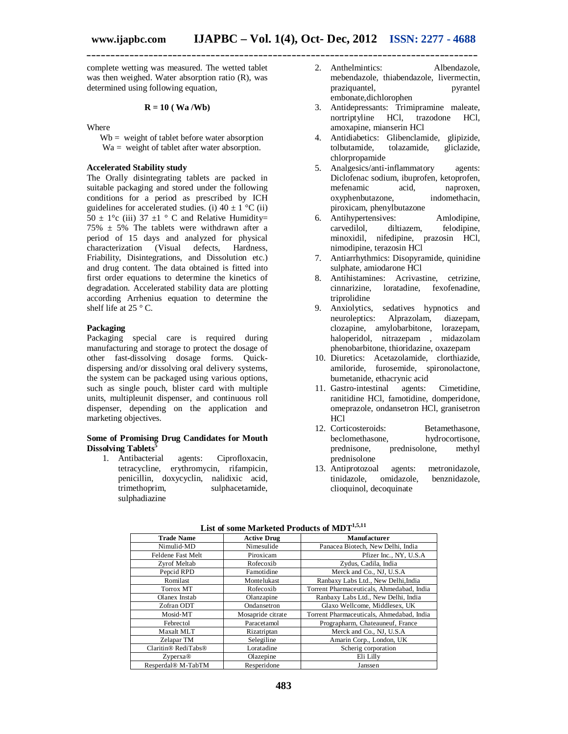complete wetting was measured. The wetted tablet was then weighed. Water absorption ratio (R), was determined using following equation,

#### **R = 10 ( Wa /Wb)**

Where

 $Wb =$  weight of tablet before water absorption Wa = weight of tablet after water absorption.

# **Accelerated Stability study**

The Orally disintegrating tablets are packed in suitable packaging and stored under the following conditions for a period as prescribed by ICH guidelines for accelerated studies. (i)  $40 \pm 1$  °C (ii)  $50 \pm 1^{\circ}$ c (iii) 37  $\pm 1^{\circ}$  C and Relative Humidity=  $75\% \pm 5\%$  The tablets were withdrawn after a period of 15 days and analyzed for physical characterization (Visual defects, Hardness, Friability, Disintegrations, and Dissolution etc.) and drug content. The data obtained is fitted into first order equations to determine the kinetics of degradation. Accelerated stability data are plotting according Arrhenius equation to determine the shelf life at  $25 \degree$  C.

## **Packaging**

Packaging special care is required during manufacturing and storage to protect the dosage of other fast-dissolving dosage forms. Quickdispersing and/or dissolving oral delivery systems, the system can be packaged using various options, such as single pouch, blister card with multiple units, multipleunit dispenser, and continuous roll dispenser, depending on the application and marketing objectives.

#### **Some of Promising Drug Candidates for Mouth Dissolving Tablets<sup>5</sup>**

1. Antibacterial agents: Ciprofloxacin, tetracycline, erythromycin, rifampicin, penicillin, doxycyclin, nalidixic acid, sulphacetamide, sulphadiazine

- 2. Anthelmintics: Albendazole, mebendazole, thiabendazole, livermectin, praziquantel, pyrantel embonate,dichlorophen
- 3. Antidepressants: Trimipramine maleate, nortriptyline HCl, trazodone HCl, amoxapine, mianserin HCl
- 4. Antidiabetics: Glibenclamide, glipizide, tolbutamide, chlorpropamide
- 5. Analgesics/anti-inflammatory agents: Diclofenac sodium, ibuprofen, ketoprofen, mefenamic acid, naproxen, oxyphenbutazone, indomethacin, piroxicam, phenylbutazone
- 6. Antihypertensives: Amlodipine, felodipine, minoxidil, nifedipine, prazosin HCl, nimodipine, terazosin HCl
- 7. Antiarrhythmics: Disopyramide, quinidine sulphate, amiodarone HCl
- 8. Antihistamines: Acrivastine, cetrizine, cinnarizine, loratadine, fexofenadine, triprolidine
- 9. Anxiolytics, sedatives hypnotics and neuroleptics: Alprazolam, diazepam, clozapine, amylobarbitone, lorazepam, haloperidol, nitrazepam , midazolam phenobarbitone, thioridazine, oxazepam
- 10. Diuretics: Acetazolamide, clorthiazide, amiloride, furosemide, spironolactone, bumetanide, ethacrynic acid
- 11. Gastro‐intestinal agents: Cimetidine, ranitidine HCl, famotidine, domperidone, omeprazole, ondansetron HCl, granisetron HCl
- 12. Corticosteroids: Betamethasone, beclomethasone, hydrocortisone, prednisone, prednisolone, methyl prednisolone
- 13. Antiprotozoal agents: metronidazole, benznidazole, clioquinol, decoquinate

| List of some marketed i rouges of mp i |                    |                                           |  |  |
|----------------------------------------|--------------------|-------------------------------------------|--|--|
| <b>Trade Name</b>                      | <b>Active Drug</b> | <b>Manufacturer</b>                       |  |  |
| Nimulid-MD                             | Nimesulide         | Panacea Biotech, New Delhi, India         |  |  |
| Feldene Fast Melt                      | Piroxicam          | Pfizer Inc., NY, U.S.A                    |  |  |
| Zvrof Meltab                           | Rofecoxib          | Zydus, Cadila, India                      |  |  |
| Pepcid RPD                             | Famotidine         | Merck and Co., NJ, U.S.A                  |  |  |
| Romilast                               | Montelukast        | Ranbaxy Labs Ltd., New Delhi, India       |  |  |
| Torrox MT                              | Rofecoxib          | Torrent Pharmaceuticals, Ahmedabad, India |  |  |
| Olanex Instab                          | Olanzapine         | Ranbaxy Labs Ltd., New Delhi, India       |  |  |
| Zofran ODT                             | Ondansetron        | Glaxo Wellcome, Middlesex, UK             |  |  |
| Mosid-MT                               | Mosapride citrate  | Torrent Pharmaceuticals, Ahmedabad, India |  |  |
| Febrectol                              | Paracetamol        | Prographarm, Chateauneuf, France          |  |  |
| Maxalt MLT                             | Rizatriptan        | Merck and Co., NJ, U.S.A                  |  |  |
| Zelapar TM                             | Selegiline         | Amarin Corp., London, UK                  |  |  |
| Claritin® RediTabs®                    | Loratadine         | Scherig corporation                       |  |  |
| Zvperxa@                               | Olazepine          | Eli Lilly                                 |  |  |
| Resperdal <sup>®</sup> M-TabTM         | Resperidone        | Janssen                                   |  |  |

#### **List of some Marketed Products of MDT1,5,11**